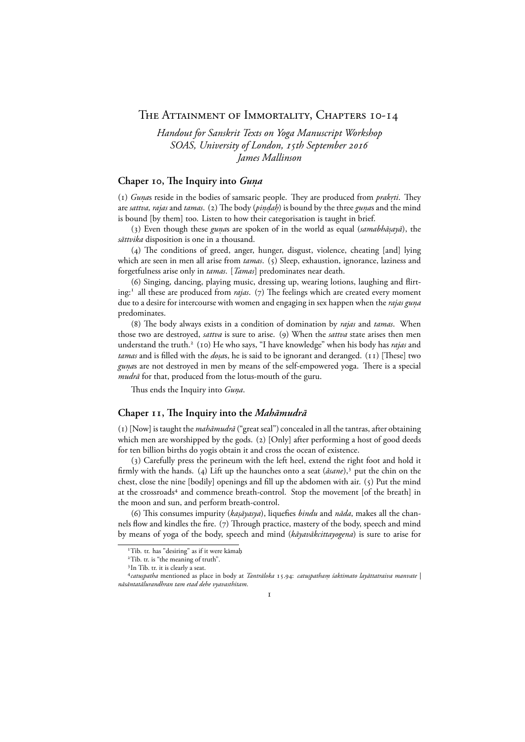# THE ATTAINMENT OF IMMORTALITY, CHAPTERS 10-14

*Handout for Sanskrit Texts on Yoga Manuscript Workshop SOAS, University of London, 15th September 2016 James Mallinson*

## Chaper 10, The Inquiry into *Guna*

(1) *Gunas* reside in the bodies of samsaric people. They are produced from *prakrti*. They are *sattva, rajas* and *tamas*. (2) The body (*pin̯daḥ*) is bound by the three *gun̯a*s and the mind is bound [by them] too. Listen to how their categorisation is taught in brief.

(3) Even though these *guna*s are spoken of in the world as equal (*samabhāṣayā*), the *sāttvika* disposition is one in a thousand.

(4) The conditions of greed, anger, hunger, disgust, violence, cheating [and] lying which are seen in men all arise from *tamas*. (5) Sleep, exhaustion, ignorance, laziness and forgetfulness arise only in *tamas*. [*Tamas*] predominates near death.

() Singing, dancing, playing music, dressing up, wearing lotions, laughing and flirting:<sup>1</sup> all these are produced from *rajas*. (7) The feelings which are created every moment due to a desire for intercourse with women and engaging in sex happen when the *rajas guna.* predominates.

() The body always exists in a condition of domination by *rajas* and *tamas*. When those two are destroyed, *sattva* is sure to arise. (9) When the *sattva* state arises then men understand the truth.<sup>2</sup> (10) He who says, "I have knowledge" when his body has *rajas* and *tamas* and is filled with the *dosa*s, he is said to be ignorant and deranged. (11) [These] two g*una*s are not destroyed in men by means of the self-empowered yoga. There is a special *mudrā* for that, produced from the lotus-mouth of the guru.

Thus ends the Inquiry into *Guna.* .

### **Chaper , The Inquiry into the** *Mahāmudrā*

() [Now] is taught the *mahāmudrā* ("great seal") concealed in all the tantras, after obtaining which men are worshipped by the gods. (2)  $[Only]$  after performing a host of good deeds for ten billion births do yogis obtain it and cross the ocean of existence.

() Carefully press the perineum with the left heel, extend the right foot and hold it firmly with the hands. (4) Lift up the haunches onto a seat  $(d\sin\theta)$ ,<sup>3</sup> put the chin on the chest, close the nine [bodily] openings and fill up the abdomen with air.  $(5)$  Put the mind at the crossroads<sup>4</sup> and commence breath-control. Stop the movement [of the breath] in the moon and sun, and perform breath-control.

(6) This consumes impurity (*kaṣāyasya*), liquefies *bindu* and *nāda*, makes all the channels flow and kindles the fire. (7) Through practice, mastery of the body, speech and mind by means of yoga of the body, speech and mind (*kāyavākcittayogena*) is sure to arise for

 $\mathbf{I}$ 

<sup>&</sup>lt;sup>1</sup>Tib. tr. has "desiring" as if it were kāmah

<sup>&</sup>lt;sup>2</sup>Tib. tr. is "the meaning of truth".

<sup>&</sup>lt;sup>3</sup> In Tib. tr. it is clearly a seat.

*catu. spatha* mentioned as place in body at *Tantrāloka* .: *catu. spatham śaktimato layāttatraiva manvate | . nāsāntatālurandhran tam etad dehe vyavasthitam*.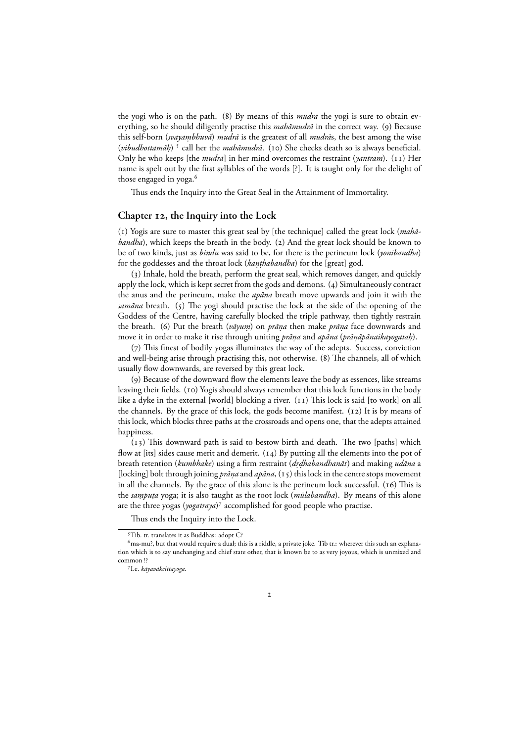the yogi who is on the path. (8) By means of this *mudrā* the yogi is sure to obtain everything, so he should diligently practise this *mahāmudrā* in the correct way. (9) Because this self-born (*svayaṃbhuvā*) *mudrā* is the greatest of all *mudrā*s, the best among the wise (*vibudhottamāḥ*)<sup>5</sup> call her the *mahāmudrā*. (10) She checks death so is always beneficial. Only he who keeps [the *mudrā*] in her mind overcomes the restraint (*yantram*). (11) Her name is spelt out by the first syllables of the words [?]. It is taught only for the delight of those engaged in yoga.

Thus ends the Inquiry into the Great Seal in the Attainment of Immortality.

#### Chapter 12, the Inquiry into the Lock

() Yogis are sure to master this great seal by [the technique] called the great lock (*mahābandha*), which keeps the breath in the body. (2) And the great lock should be known to be of two kinds, just as *bindu* was said to be, for there is the perineum lock (*yonibandha*) for the goddesses and the throat lock (*kaṇṭhabandha*) for the [great] god.

() Inhale, hold the breath, perform the great seal, which removes danger, and quickly apply the lock, which is kept secret from the gods and demons. (4) Simultaneously contract the anus and the perineum, make the *apāna* breath move upwards and join it with the *samāna* breath. (5) The yogi should practise the lock at the side of the opening of the Goddess of the Centre, having carefully blocked the triple pathway, then tightly restrain the breath. (6) Put the breath (*vāyuṃ*) on *prāṇa* then make *prāṇa* face downwards and move it in order to make it rise through uniting *prāṇa* and *apāna (prāṇāpānaikayogataḥ*).

(7) This finest of bodily yogas illuminates the way of the adepts. Success, conviction and well-being arise through practising this, not otherwise. (8) The channels, all of which usually flow downwards, are reversed by this great lock.

() Because of the downward flow the elements leave the body as essences, like streams leaving their fields. (10) Yogis should always remember that this lock functions in the body like a dyke in the external [world] blocking a river.  $(11)$  This lock is said [to work] on all the channels. By the grace of this lock, the gods become manifest.  $(12)$  It is by means of this lock, which blocks three paths at the crossroads and opens one, that the adepts attained happiness.

 $(13)$  This downward path is said to bestow birth and death. The two [paths] which flow at [its] sides cause merit and demerit.  $(14)$  By putting all the elements into the pot of breath retention (*kumbhake*) using a firm restraint (*d. rdhabandhanāt .* ) and making *udāna* a [locking] bolt through joining *prāṇa* and  $a$ *pāna*,  $(x)$  this lock in the centre stops movement in all the channels. By the grace of this alone is the perineum lock successful.  $(16)$  This is the *sampuṭa* yoga; it is also taught as the root lock (*mūlabandha*). By means of this alone are the three yogas (*yogatraya*)<sup>7</sup> accomplished for good people who practise.

Thus ends the Inquiry into the Lock.

<sup>&</sup>lt;sup>5</sup>Tib. tr. translates it as Buddhas: adopt C?

ma-mu?, but that would require a dual; this is a riddle, a private joke. Tib tr.: wherever this such an explanation which is to say unchanging and chief state other, that is known be to as very joyous, which is unmixed and common !?

I.e. *kāyavākcittayoga*.

 $\overline{2}$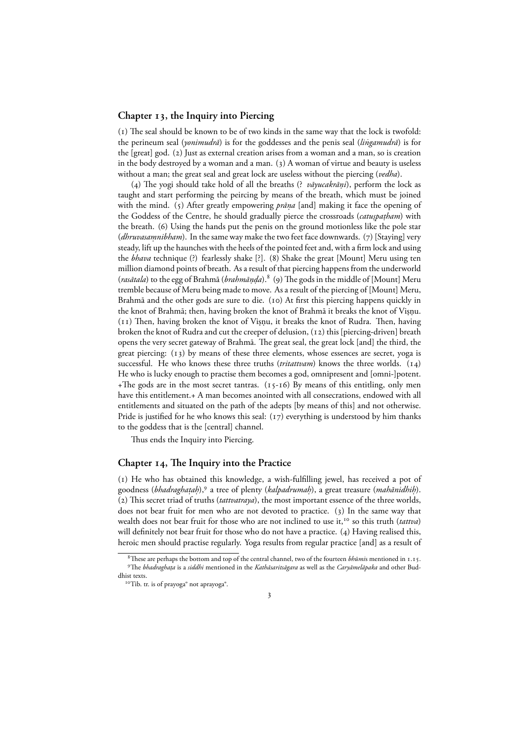#### **Chapter 13, the Inquiry into Piercing**

 $(1)$  The seal should be known to be of two kinds in the same way that the lock is twofold: the perineum seal (*yonimudrā*) is for the goddesses and the penis seal (*lingamudrā ˙* ) is for the [great] god. (2) Just as external creation arises from a woman and a man, so is creation in the body destroyed by a woman and a man.  $(3)$  A woman of virtue and beauty is useless without a man; the great seal and great lock are useless without the piercing (*vedha*).

(4) The yogi should take hold of all the breaths (? *vāyucakrāṇi*), perform the lock as taught and start performing the peircing by means of the breath, which must be joined with the mind. (5) After greatly empowering *prāṇa* [and] making it face the opening of the Goddess of the Centre, he should gradually pierce the crossroads (*catuspaṭham*) with the breath. (6) Using the hands put the penis on the ground motionless like the pole star (*dhruvasaṃnibham*). In the same way make the two feet face downwards. (7) [Staying] very steady, lift up the haunches with the heels of the pointed feet and, with a firm lock and using the *bhava* technique (?) fearlessly shake [?]. (8) Shake the great [Mount] Meru using ten million diamond points of breath. As a result of that piercing happens from the underworld (*rasātala*) to the egg of Brahmā (*brahmāṇḍa*). <sup>8</sup> (9) The gods in the middle of [Mount] Meru tremble because of Meru being made to move. As a result of the piercing of [Mount] Meru, Brahmā and the other gods are sure to die. (10) At first this piercing happens quickly in the knot of Brahmā; then, having broken the knot of Brahmā it breaks the knot of Viṣṇu.  $(11)$  Then, having broken the knot of Visnu, it breaks the knot of Rudra. Then, having broken the knot of Rudra and cut the creeper of delusion, (12) this [piercing-driven] breath opens the very secret gateway of Brahmā. The great seal, the great lock [and] the third, the great piercing:  $(13)$  by means of these three elements, whose essences are secret, yoga is successful. He who knows these three truths *(tritattvam)* knows the three worlds. (14) He who is lucky enough to practise them becomes a god, omnipresent and [omni-]potent. +The gods are in the most secret tantras.  $(15-16)$  By means of this entitling, only men have this entitlement.+ A man becomes anointed with all consecrations, endowed with all entitlements and situated on the path of the adepts [by means of this] and not otherwise. Pride is justified for he who knows this seal:  $(17)$  everything is understood by him thanks to the goddess that is the [central] channel.

Thus ends the Inquiry into Piercing.

#### Chapter 14, The Inquiry into the Practice

() He who has obtained this knowledge, a wish-fulfilling jewel, has received a pot of goodness (*bhadraghaṭaḥ*),<sup>9</sup> a tree of plenty (*kalpadrumaḥ*), a great treasure (*mahānidhiḥ*). () This secret triad of truths (*tattvatraya*), the most important essence of the three worlds, does not bear fruit for men who are not devoted to practice.  $(3)$  In the same way that wealth does not bear fruit for those who are not inclined to use it,<sup>10</sup> so this truth (*tattva*) will definitely not bear fruit for those who do not have a practice.  $(4)$  Having realised this, heroic men should practise regularly. Yoga results from regular practice [and] as a result of

 $\overline{\mathbf{3}}$ 

<sup>&</sup>lt;sup>8</sup>These are perhaps the bottom and top of the central channel, two of the fourteen *bhūmis* mentioned in 1.15. <sup>9</sup>The *bhadraghaṭa* is a *siddhi* mentioned in the *Kathāsaritsāgara* as well as the *Caryāmelāpaka* and other Buddhist texts.

<sup>&</sup>lt;sup>10</sup>Tib. tr. is of prayoga<sup>°</sup> not aprayoga<sup>°</sup>.